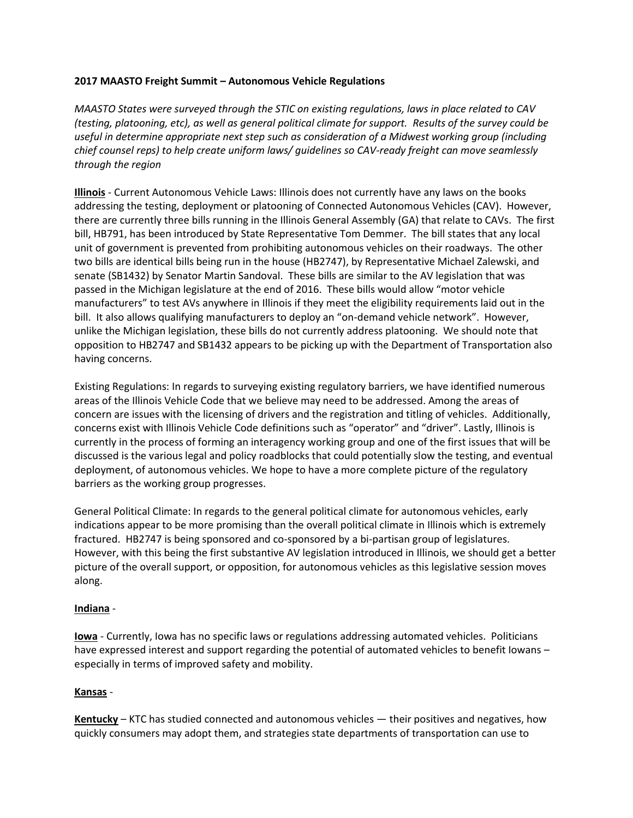## **2017 MAASTO Freight Summit – Autonomous Vehicle Regulations**

*MAASTO States were surveyed through the STIC on existing regulations, laws in place related to CAV (testing, platooning, etc), as well as general political climate for support. Results of the survey could be useful in determine appropriate next step such as consideration of a Midwest working group (including chief counsel reps) to help create uniform laws/ guidelines so CAV-ready freight can move seamlessly through the region*

**Illinois** - Current Autonomous Vehicle Laws: Illinois does not currently have any laws on the books addressing the testing, deployment or platooning of Connected Autonomous Vehicles (CAV). However, there are currently three bills running in the Illinois General Assembly (GA) that relate to CAVs. The first bill, HB791, has been introduced by State Representative Tom Demmer. The bill states that any local unit of government is prevented from prohibiting autonomous vehicles on their roadways. The other two bills are identical bills being run in the house (HB2747), by Representative Michael Zalewski, and senate (SB1432) by Senator Martin Sandoval. These bills are similar to the AV legislation that was passed in the Michigan legislature at the end of 2016. These bills would allow "motor vehicle manufacturers" to test AVs anywhere in Illinois if they meet the eligibility requirements laid out in the bill. It also allows qualifying manufacturers to deploy an "on-demand vehicle network". However, unlike the Michigan legislation, these bills do not currently address platooning. We should note that opposition to HB2747 and SB1432 appears to be picking up with the Department of Transportation also having concerns.

Existing Regulations: In regards to surveying existing regulatory barriers, we have identified numerous areas of the Illinois Vehicle Code that we believe may need to be addressed. Among the areas of concern are issues with the licensing of drivers and the registration and titling of vehicles. Additionally, concerns exist with Illinois Vehicle Code definitions such as "operator" and "driver". Lastly, Illinois is currently in the process of forming an interagency working group and one of the first issues that will be discussed is the various legal and policy roadblocks that could potentially slow the testing, and eventual deployment, of autonomous vehicles. We hope to have a more complete picture of the regulatory barriers as the working group progresses.

General Political Climate: In regards to the general political climate for autonomous vehicles, early indications appear to be more promising than the overall political climate in Illinois which is extremely fractured. HB2747 is being sponsored and co-sponsored by a bi-partisan group of legislatures. However, with this being the first substantive AV legislation introduced in Illinois, we should get a better picture of the overall support, or opposition, for autonomous vehicles as this legislative session moves along.

## **Indiana** -

**Iowa** - Currently, Iowa has no specific laws or regulations addressing automated vehicles. Politicians have expressed interest and support regarding the potential of automated vehicles to benefit Iowans – especially in terms of improved safety and mobility.

## **Kansas** -

**Kentucky** – KTC has studied connected and autonomous vehicles — their positives and negatives, how quickly consumers may adopt them, and strategies state departments of transportation can use to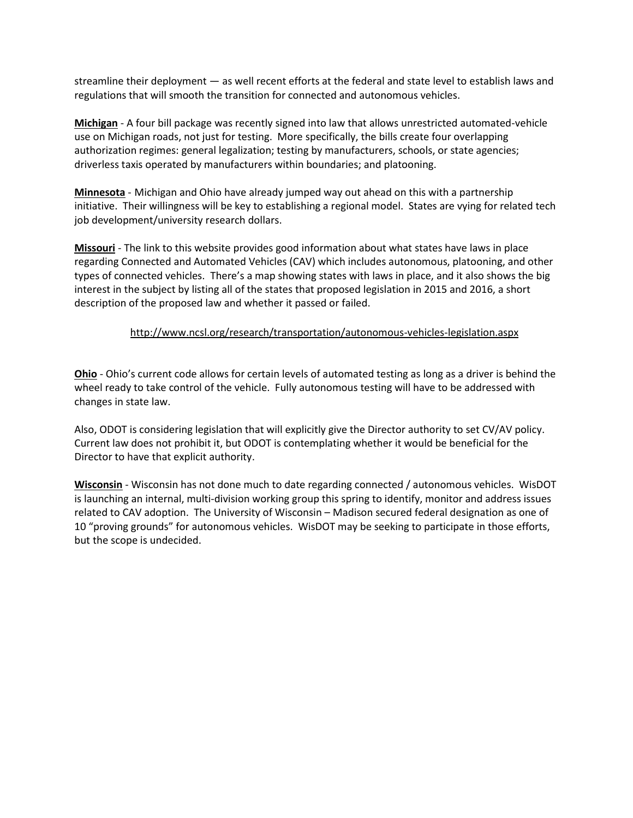streamline their deployment — as well recent efforts at the federal and state level to establish laws and regulations that will smooth the transition for connected and autonomous vehicles.

**Michigan** - A four bill package was recently signed into law that allows unrestricted automated-vehicle use on Michigan roads, not just for testing. More specifically, the bills create four overlapping authorization regimes: general legalization; testing by manufacturers, schools, or state agencies; driverless taxis operated by manufacturers within boundaries; and platooning.

**Minnesota** - Michigan and Ohio have already jumped way out ahead on this with a partnership initiative. Their willingness will be key to establishing a regional model. States are vying for related tech job development/university research dollars.

**Missouri** - The link to this website provides good information about what states have laws in place regarding Connected and Automated Vehicles (CAV) which includes autonomous, platooning, and other types of connected vehicles. There's a map showing states with laws in place, and it also shows the big interest in the subject by listing all of the states that proposed legislation in 2015 and 2016, a short description of the proposed law and whether it passed or failed.

## <http://www.ncsl.org/research/transportation/autonomous-vehicles-legislation.aspx>

**Ohio** - Ohio's current code allows for certain levels of automated testing as long as a driver is behind the wheel ready to take control of the vehicle. Fully autonomous testing will have to be addressed with changes in state law.

Also, ODOT is considering legislation that will explicitly give the Director authority to set CV/AV policy. Current law does not prohibit it, but ODOT is contemplating whether it would be beneficial for the Director to have that explicit authority.

**Wisconsin** - Wisconsin has not done much to date regarding connected / autonomous vehicles. WisDOT is launching an internal, multi-division working group this spring to identify, monitor and address issues related to CAV adoption. The University of Wisconsin – Madison secured federal designation as one of 10 "proving grounds" for autonomous vehicles. WisDOT may be seeking to participate in those efforts, but the scope is undecided.